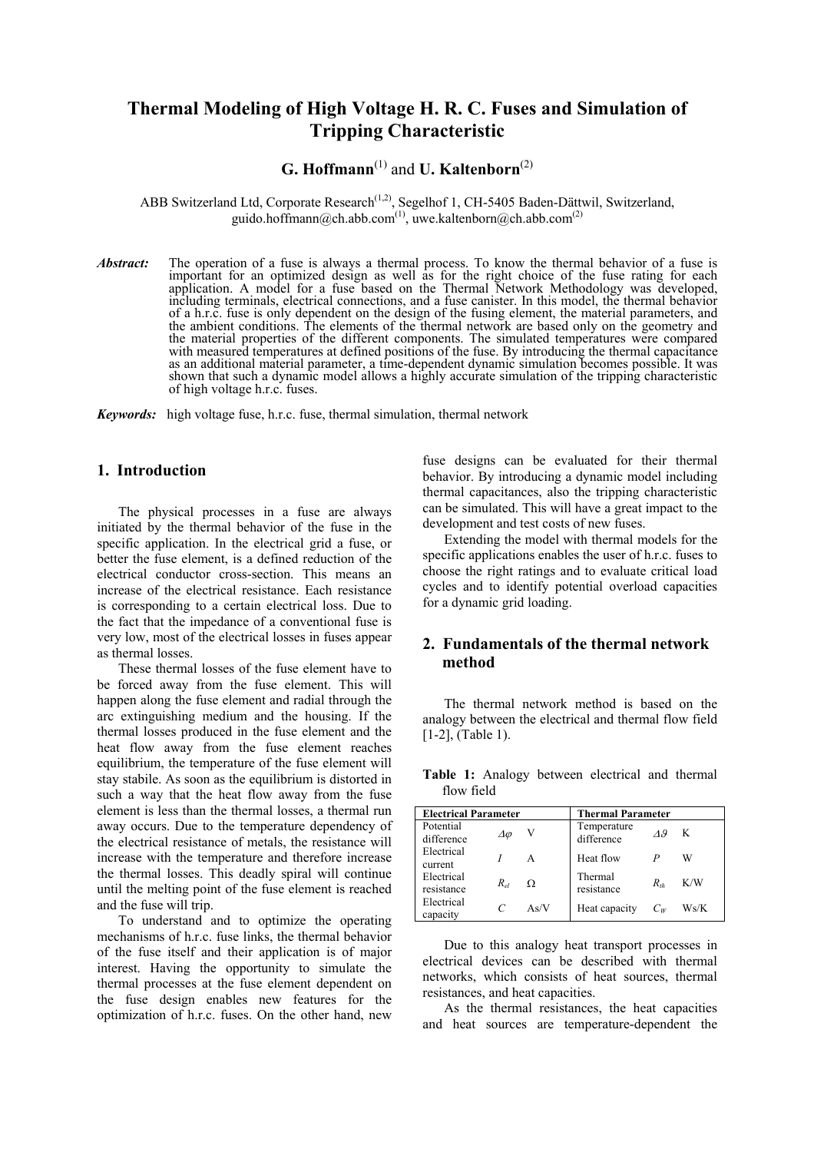## **Thermal Modeling of High Voltage H. R. C. Fuses and Simulation of Tripping Characteristic**

# **G. Hoffmann**(1) and **U. Kaltenborn**(2)

ABB Switzerland Ltd, Corporate Research<sup>(1,2)</sup>, Segelhof 1, CH-5405 Baden-Dättwil, Switzerland, guido.hoffmann@ch.abb.com<sup>(1)</sup>, uwe.kaltenborn@ch.abb.com<sup>(2)</sup>

*Abstract:* The operation of a fuse is always a thermal process. To know the thermal behavior of a fuse is important for an optimized design as well as for the right choice of the fuse rating for each application. A model for a fuse based on the Thermal Network Methodology was developed, including terminals, electrical connections, and a fuse canister. In this model, the thermal behavior of a h.r.c. fuse is only dependent on the design of the fusing element, the material parameters, and the ambient conditions. The elements of the thermal network are based only on the geometry and the material properties of the different components. The simulated temperatures were compared with measured temperatures at defined positions of the fuse. By introducing the thermal capacitance as an additional material parameter, a time-dependent dynamic simulation becomes possible. It was shown that such a dynamic model allows a highly accurate simulation of the tripping characteristic of high voltage h.r.c. fuses.

*Keywords:* high voltage fuse, h.r.c. fuse, thermal simulation, thermal network

### **1. Introduction**

The physical processes in a fuse are always initiated by the thermal behavior of the fuse in the specific application. In the electrical grid a fuse, or better the fuse element, is a defined reduction of the electrical conductor cross-section. This means an increase of the electrical resistance. Each resistance is corresponding to a certain electrical loss. Due to the fact that the impedance of a conventional fuse is very low, most of the electrical losses in fuses appear as thermal losses.

These thermal losses of the fuse element have to be forced away from the fuse element. This will happen along the fuse element and radial through the arc extinguishing medium and the housing. If the thermal losses produced in the fuse element and the heat flow away from the fuse element reaches equilibrium, the temperature of the fuse element will stay stabile. As soon as the equilibrium is distorted in such a way that the heat flow away from the fuse element is less than the thermal losses, a thermal run away occurs. Due to the temperature dependency of the electrical resistance of metals, the resistance will increase with the temperature and therefore increase the thermal losses. This deadly spiral will continue until the melting point of the fuse element is reached and the fuse will trip.

To understand and to optimize the operating mechanisms of h.r.c. fuse links, the thermal behavior of the fuse itself and their application is of major interest. Having the opportunity to simulate the thermal processes at the fuse element dependent on the fuse design enables new features for the optimization of h.r.c. fuses. On the other hand, new fuse designs can be evaluated for their thermal behavior. By introducing a dynamic model including thermal capacitances, also the tripping characteristic can be simulated. This will have a great impact to the development and test costs of new fuses.

Extending the model with thermal models for the specific applications enables the user of h.r.c. fuses to choose the right ratings and to evaluate critical load cycles and to identify potential overload capacities for a dynamic grid loading.

### **2. Fundamentals of the thermal network method**

The thermal network method is based on the analogy between the electrical and thermal flow field [1-2], (Table 1).

**Table 1:** Analogy between electrical and thermal flow field

| <b>Electrical Parameter</b> |          |      | <b>Thermal Parameter</b>  |              |      |
|-----------------------------|----------|------|---------------------------|--------------|------|
| Potential<br>difference     | Δφ       | V    | Temperature<br>difference | $\Lambda$ .9 | K    |
| Electrical<br>current       |          | A    | Heat flow                 |              | W    |
| Electrical<br>resistance    | $R_{el}$ | Ω    | Thermal<br>resistance     | $R_{th}$     | K/W  |
| Electrical<br>capacity      | C        | As/V | Heat capacity             | $C_W$        | Ws/K |

Due to this analogy heat transport processes in electrical devices can be described with thermal networks, which consists of heat sources, thermal resistances, and heat capacities.

As the thermal resistances, the heat capacities and heat sources are temperature-dependent the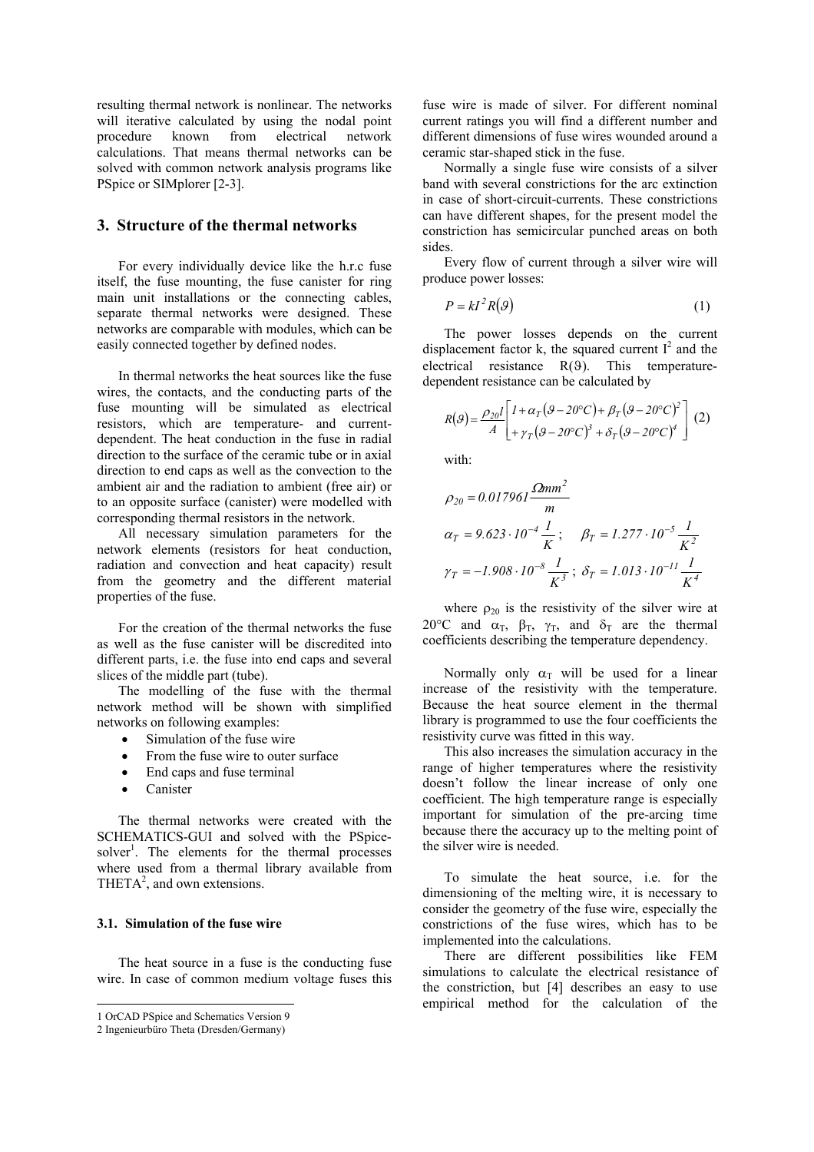resulting thermal network is nonlinear. The networks will iterative calculated by using the nodal point procedure known from electrical network calculations. That means thermal networks can be solved with common network analysis programs like PSpice or SIMplorer [2-3].

### **3. Structure of the thermal networks**

For every individually device like the h.r.c fuse itself, the fuse mounting, the fuse canister for ring main unit installations or the connecting cables, separate thermal networks were designed. These networks are comparable with modules, which can be easily connected together by defined nodes.

In thermal networks the heat sources like the fuse wires, the contacts, and the conducting parts of the fuse mounting will be simulated as electrical resistors, which are temperature- and currentdependent. The heat conduction in the fuse in radial direction to the surface of the ceramic tube or in axial direction to end caps as well as the convection to the ambient air and the radiation to ambient (free air) or to an opposite surface (canister) were modelled with corresponding thermal resistors in the network.

All necessary simulation parameters for the network elements (resistors for heat conduction, radiation and convection and heat capacity) result from the geometry and the different material properties of the fuse.

For the creation of the thermal networks the fuse as well as the fuse canister will be discredited into different parts, i.e. the fuse into end caps and several slices of the middle part (tube).

The modelling of the fuse with the thermal network method will be shown with simplified networks on following examples:

- Simulation of the fuse wire
- From the fuse wire to outer surface
- End caps and fuse terminal
- Canister

The thermal networks were created with the SCHEMATICS-GUI and solved with the PSpicesolver<sup>1</sup>. The elements for the thermal processes where used from a thermal library available from THET $A^2$ , and own extensions.

### **3.1. Simulation of the fuse wire**

The heat source in a fuse is the conducting fuse wire. In case of common medium voltage fuses this

 $\overline{a}$ 

fuse wire is made of silver. For different nominal current ratings you will find a different number and different dimensions of fuse wires wounded around a ceramic star-shaped stick in the fuse.

Normally a single fuse wire consists of a silver band with several constrictions for the arc extinction in case of short-circuit-currents. These constrictions can have different shapes, for the present model the constriction has semicircular punched areas on both sides.

Every flow of current through a silver wire will produce power losses:

$$
P = kI^2 R(\mathcal{G}) \tag{1}
$$

The power losses depends on the current displacement factor k, the squared current  $I^2$  and the electrical resistance R(9). This temperaturedependent resistance can be calculated by

$$
R(\mathcal{G}) = \frac{\rho_{20}l}{A} \left[ \begin{array}{l} I + \alpha_T (\mathcal{G} - 20^{\circ}C) + \beta_T (\mathcal{G} - 20^{\circ}C)^2 \\ + \gamma_T (\mathcal{G} - 20^{\circ}C)^3 + \delta_T (\mathcal{G} - 20^{\circ}C)^4 \end{array} \right] (2)
$$

with:

$$
\rho_{20} = 0.017961 \frac{\Omega m m^2}{m}
$$
  
\n
$$
\alpha_T = 9.623 \cdot 10^{-4} \frac{I}{K}; \quad \beta_T = 1.277 \cdot 10^{-5} \frac{I}{K^2}
$$
  
\n
$$
\gamma_T = -1.908 \cdot 10^{-8} \frac{I}{K^3}; \quad \delta_T = 1.013 \cdot 10^{-11} \frac{I}{K^4}
$$

where  $\rho_{20}$  is the resistivity of the silver wire at 20°C and  $\alpha_{\text{t}}$ ,  $\beta_{\text{t}}$ ,  $\gamma_{\text{t}}$ , and  $\delta_{\text{t}}$  are the thermal coefficients describing the temperature dependency.

Normally only  $\alpha_T$  will be used for a linear increase of the resistivity with the temperature. Because the heat source element in the thermal library is programmed to use the four coefficients the resistivity curve was fitted in this way.

This also increases the simulation accuracy in the range of higher temperatures where the resistivity doesn't follow the linear increase of only one coefficient. The high temperature range is especially important for simulation of the pre-arcing time because there the accuracy up to the melting point of the silver wire is needed.

To simulate the heat source, i.e. for the dimensioning of the melting wire, it is necessary to consider the geometry of the fuse wire, especially the constrictions of the fuse wires, which has to be implemented into the calculations.

There are different possibilities like FEM simulations to calculate the electrical resistance of the constriction, but [4] describes an easy to use empirical method for the calculation of the

<sup>1</sup> OrCAD PSpice and Schematics Version 9

<sup>2</sup> Ingenieurbüro Theta (Dresden/Germany)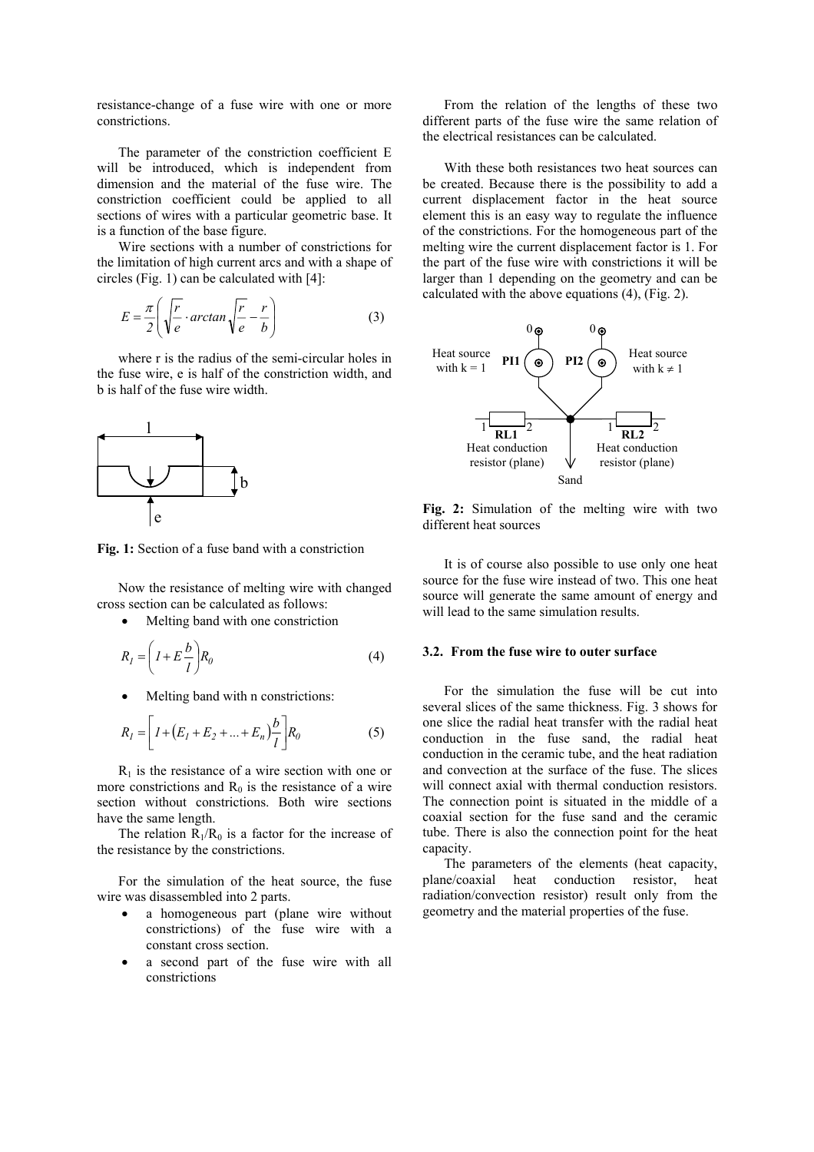resistance-change of a fuse wire with one or more constrictions.

The parameter of the constriction coefficient E will be introduced, which is independent from dimension and the material of the fuse wire. The constriction coefficient could be applied to all sections of wires with a particular geometric base. It is a function of the base figure.

Wire sections with a number of constrictions for the limitation of high current arcs and with a shape of circles (Fig. 1) can be calculated with [4]:

$$
E = \frac{\pi}{2} \left( \sqrt{\frac{r}{e}} \cdot \arctan \sqrt{\frac{r}{e}} - \frac{r}{b} \right)
$$
 (3)

where r is the radius of the semi-circular holes in the fuse wire, e is half of the constriction width, and b is half of the fuse wire width.



**Fig. 1:** Section of a fuse band with a constriction

Now the resistance of melting wire with changed cross section can be calculated as follows:

Melting band with one constriction

$$
R_I = \left(I + E\frac{b}{l}\right)R_0\tag{4}
$$

Melting band with n constrictions:

$$
R_{I} = \left[ I + (E_{I} + E_{2} + ... + E_{n}) \frac{b}{l} \right] R_{0}
$$
 (5)

 $R_1$  is the resistance of a wire section with one or more constrictions and  $R_0$  is the resistance of a wire section without constrictions. Both wire sections have the same length.

The relation  $R_1/R_0$  is a factor for the increase of the resistance by the constrictions.

For the simulation of the heat source, the fuse wire was disassembled into 2 parts.

- a homogeneous part (plane wire without constrictions) of the fuse wire with a constant cross section.
- a second part of the fuse wire with all constrictions

From the relation of the lengths of these two different parts of the fuse wire the same relation of the electrical resistances can be calculated.

With these both resistances two heat sources can be created. Because there is the possibility to add a current displacement factor in the heat source element this is an easy way to regulate the influence of the constrictions. For the homogeneous part of the melting wire the current displacement factor is 1. For the part of the fuse wire with constrictions it will be larger than 1 depending on the geometry and can be calculated with the above equations (4), (Fig. 2).



**Fig. 2:** Simulation of the melting wire with two different heat sources

It is of course also possible to use only one heat source for the fuse wire instead of two. This one heat source will generate the same amount of energy and will lead to the same simulation results.

#### **3.2. From the fuse wire to outer surface**

For the simulation the fuse will be cut into several slices of the same thickness. Fig. 3 shows for one slice the radial heat transfer with the radial heat conduction in the fuse sand, the radial heat conduction in the ceramic tube, and the heat radiation and convection at the surface of the fuse. The slices will connect axial with thermal conduction resistors. The connection point is situated in the middle of a coaxial section for the fuse sand and the ceramic tube. There is also the connection point for the heat capacity.

The parameters of the elements (heat capacity, plane/coaxial heat conduction resistor, heat radiation/convection resistor) result only from the geometry and the material properties of the fuse.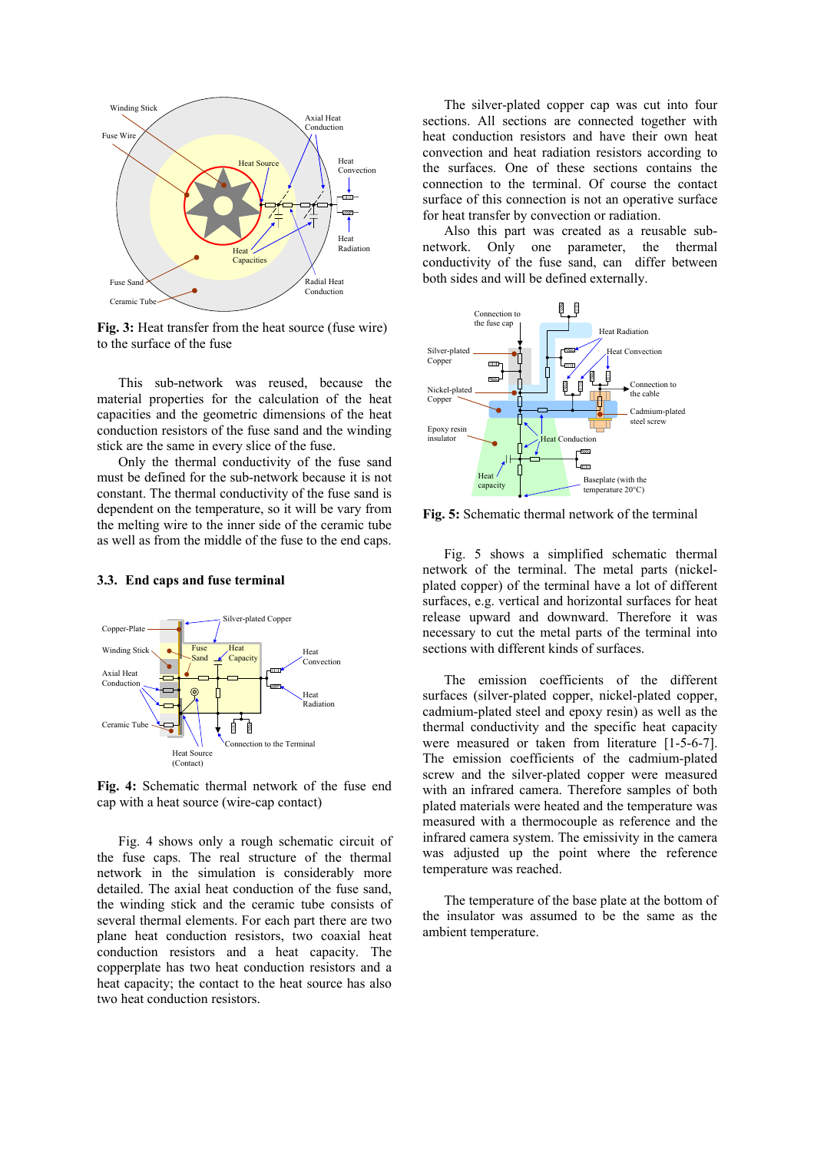

**Fig. 3:** Heat transfer from the heat source (fuse wire) to the surface of the fuse

This sub-network was reused, because the material properties for the calculation of the heat capacities and the geometric dimensions of the heat conduction resistors of the fuse sand and the winding stick are the same in every slice of the fuse.

Only the thermal conductivity of the fuse sand must be defined for the sub-network because it is not constant. The thermal conductivity of the fuse sand is dependent on the temperature, so it will be vary from the melting wire to the inner side of the ceramic tube as well as from the middle of the fuse to the end caps.

### **3.3. End caps and fuse terminal**



**Fig. 4:** Schematic thermal network of the fuse end cap with a heat source (wire-cap contact)

Fig. 4 shows only a rough schematic circuit of the fuse caps. The real structure of the thermal network in the simulation is considerably more detailed. The axial heat conduction of the fuse sand, the winding stick and the ceramic tube consists of several thermal elements. For each part there are two plane heat conduction resistors, two coaxial heat conduction resistors and a heat capacity. The copperplate has two heat conduction resistors and a heat capacity; the contact to the heat source has also two heat conduction resistors.

The silver-plated copper cap was cut into four sections. All sections are connected together with heat conduction resistors and have their own heat convection and heat radiation resistors according to the surfaces. One of these sections contains the connection to the terminal. Of course the contact surface of this connection is not an operative surface for heat transfer by convection or radiation.

Also this part was created as a reusable subnetwork. Only one parameter, the thermal conductivity of the fuse sand, can differ between both sides and will be defined externally.



**Fig. 5:** Schematic thermal network of the terminal

Fig. 5 shows a simplified schematic thermal network of the terminal. The metal parts (nickelplated copper) of the terminal have a lot of different surfaces, e.g. vertical and horizontal surfaces for heat release upward and downward. Therefore it was necessary to cut the metal parts of the terminal into sections with different kinds of surfaces.

The emission coefficients of the different surfaces (silver-plated copper, nickel-plated copper, cadmium-plated steel and epoxy resin) as well as the thermal conductivity and the specific heat capacity were measured or taken from literature [1-5-6-7]. The emission coefficients of the cadmium-plated screw and the silver-plated copper were measured with an infrared camera. Therefore samples of both plated materials were heated and the temperature was measured with a thermocouple as reference and the infrared camera system. The emissivity in the camera was adjusted up the point where the reference temperature was reached.

The temperature of the base plate at the bottom of the insulator was assumed to be the same as the ambient temperature.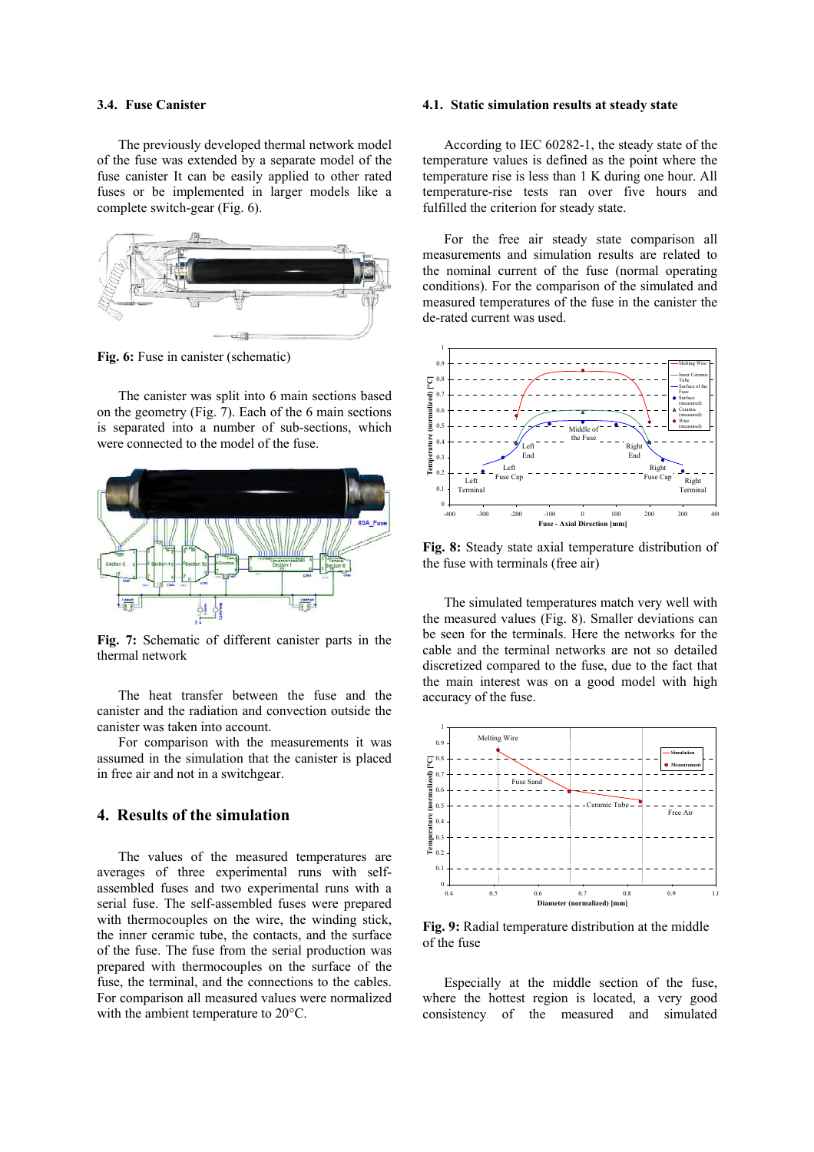#### **3.4. Fuse Canister**

The previously developed thermal network model of the fuse was extended by a separate model of the fuse canister It can be easily applied to other rated fuses or be implemented in larger models like a complete switch-gear (Fig. 6).



**Fig. 6:** Fuse in canister (schematic)

The canister was split into 6 main sections based on the geometry (Fig. 7). Each of the 6 main sections is separated into a number of sub-sections, which were connected to the model of the fuse.



**Fig. 7:** Schematic of different canister parts in the thermal network

The heat transfer between the fuse and the canister and the radiation and convection outside the canister was taken into account.

For comparison with the measurements it was assumed in the simulation that the canister is placed in free air and not in a switchgear.

## **4. Results of the simulation**

The values of the measured temperatures are averages of three experimental runs with selfassembled fuses and two experimental runs with a serial fuse. The self-assembled fuses were prepared with thermocouples on the wire, the winding stick, the inner ceramic tube, the contacts, and the surface of the fuse. The fuse from the serial production was prepared with thermocouples on the surface of the fuse, the terminal, and the connections to the cables. For comparison all measured values were normalized with the ambient temperature to 20°C.

#### **4.1. Static simulation results at steady state**

According to IEC 60282-1, the steady state of the temperature values is defined as the point where the temperature rise is less than 1 K during one hour. All temperature-rise tests ran over five hours and fulfilled the criterion for steady state.

For the free air steady state comparison all measurements and simulation results are related to the nominal current of the fuse (normal operating conditions). For the comparison of the simulated and measured temperatures of the fuse in the canister the de-rated current was used.



**Fig. 8:** Steady state axial temperature distribution of the fuse with terminals (free air)

The simulated temperatures match very well with the measured values (Fig. 8). Smaller deviations can be seen for the terminals. Here the networks for the cable and the terminal networks are not so detailed discretized compared to the fuse, due to the fact that the main interest was on a good model with high accuracy of the fuse.



**Fig. 9:** Radial temperature distribution at the middle of the fuse

Especially at the middle section of the fuse, where the hottest region is located, a very good consistency of the measured and simulated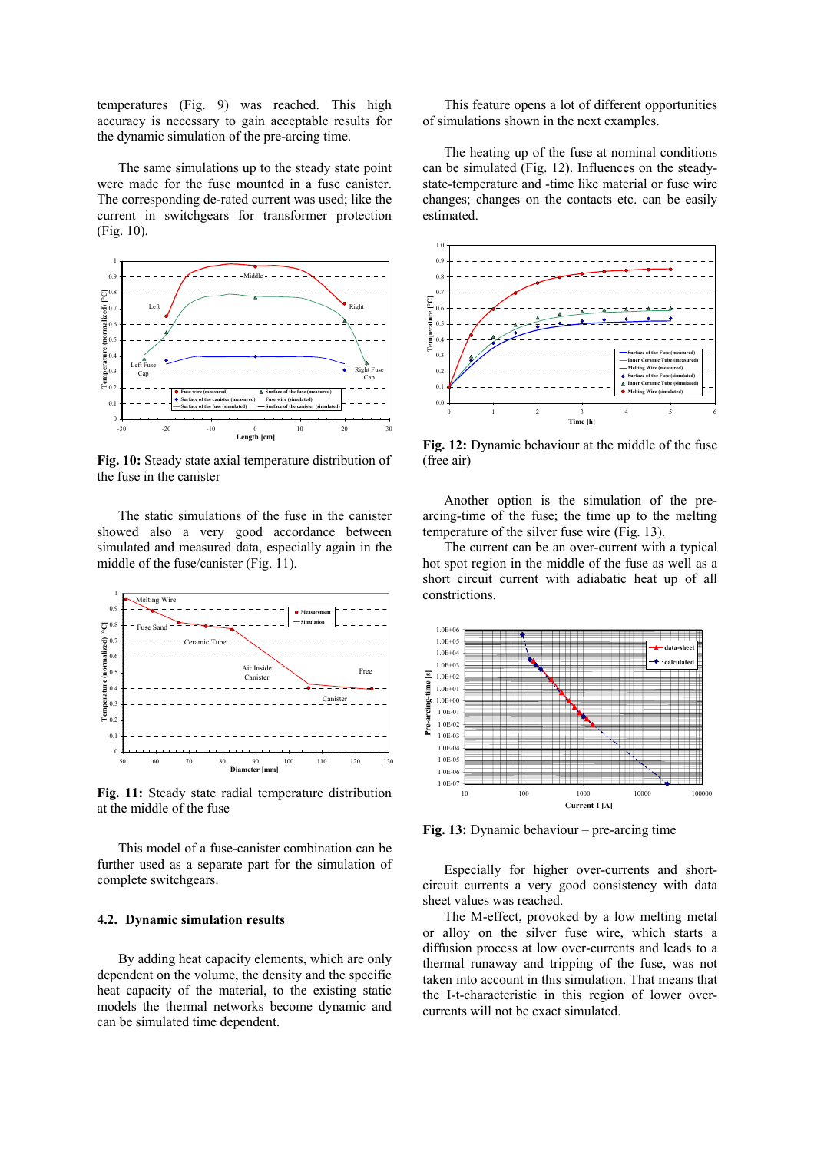temperatures (Fig. 9) was reached. This high accuracy is necessary to gain acceptable results for the dynamic simulation of the pre-arcing time.

The same simulations up to the steady state point were made for the fuse mounted in a fuse canister. The corresponding de-rated current was used; like the current in switchgears for transformer protection (Fig. 10).



**Fig. 10:** Steady state axial temperature distribution of the fuse in the canister

The static simulations of the fuse in the canister showed also a very good accordance between simulated and measured data, especially again in the middle of the fuse/canister (Fig. 11).



**Fig. 11:** Steady state radial temperature distribution at the middle of the fuse

This model of a fuse-canister combination can be further used as a separate part for the simulation of complete switchgears.

#### **4.2. Dynamic simulation results**

By adding heat capacity elements, which are only dependent on the volume, the density and the specific heat capacity of the material, to the existing static models the thermal networks become dynamic and can be simulated time dependent.

This feature opens a lot of different opportunities of simulations shown in the next examples.

The heating up of the fuse at nominal conditions can be simulated (Fig. 12). Influences on the steadystate-temperature and -time like material or fuse wire changes; changes on the contacts etc. can be easily estimated.



**Fig. 12:** Dynamic behaviour at the middle of the fuse (free air)

Another option is the simulation of the prearcing-time of the fuse; the time up to the melting temperature of the silver fuse wire (Fig. 13).

The current can be an over-current with a typical hot spot region in the middle of the fuse as well as a short circuit current with adiabatic heat up of all constrictions.



**Fig. 13:** Dynamic behaviour – pre-arcing time

Especially for higher over-currents and shortcircuit currents a very good consistency with data sheet values was reached.

The M-effect, provoked by a low melting metal or alloy on the silver fuse wire, which starts a diffusion process at low over-currents and leads to a thermal runaway and tripping of the fuse, was not taken into account in this simulation. That means that the I-t-characteristic in this region of lower overcurrents will not be exact simulated.